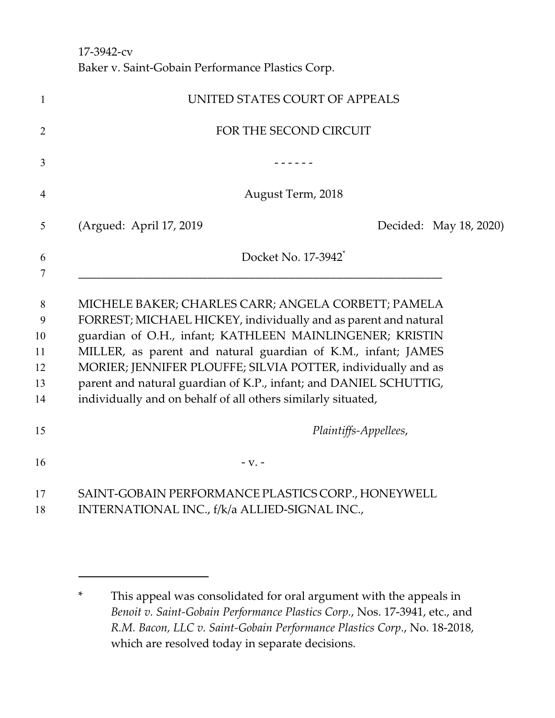17-3942-cv Baker v. Saint-Gobain Performance Plastics Corp.

| $\mathbf{1}$                         | UNITED STATES COURT OF APPEALS                                                                                                                                                                                                                                                                                                                                                                                                                           |
|--------------------------------------|----------------------------------------------------------------------------------------------------------------------------------------------------------------------------------------------------------------------------------------------------------------------------------------------------------------------------------------------------------------------------------------------------------------------------------------------------------|
| $\overline{2}$                       | FOR THE SECOND CIRCUIT                                                                                                                                                                                                                                                                                                                                                                                                                                   |
| 3                                    |                                                                                                                                                                                                                                                                                                                                                                                                                                                          |
| $\overline{4}$                       | August Term, 2018                                                                                                                                                                                                                                                                                                                                                                                                                                        |
| 5                                    | (Argued: April 17, 2019)<br>Decided: May 18, 2020)                                                                                                                                                                                                                                                                                                                                                                                                       |
| 6<br>7                               | Docket No. 17-3942 <sup>*</sup>                                                                                                                                                                                                                                                                                                                                                                                                                          |
| 8<br>9<br>10<br>11<br>12<br>13<br>14 | MICHELE BAKER; CHARLES CARR; ANGELA CORBETT; PAMELA<br>FORREST; MICHAEL HICKEY, individually and as parent and natural<br>guardian of O.H., infant; KATHLEEN MAINLINGENER; KRISTIN<br>MILLER, as parent and natural guardian of K.M., infant; JAMES<br>MORIER; JENNIFER PLOUFFE; SILVIA POTTER, individually and as<br>parent and natural guardian of K.P., infant; and DANIEL SCHUTTIG,<br>individually and on behalf of all others similarly situated, |
| 15                                   | Plaintiffs-Appellees,                                                                                                                                                                                                                                                                                                                                                                                                                                    |
| 16                                   | $-V. -$                                                                                                                                                                                                                                                                                                                                                                                                                                                  |
| 17<br>18                             | SAINT-GOBAIN PERFORMANCE PLASTICS CORP., HONEYWELL<br>INTERNATIONAL INC., f/k/a ALLIED-SIGNAL INC.,                                                                                                                                                                                                                                                                                                                                                      |

<sup>\*</sup> This appeal was consolidated for oral argument with the appeals in *Benoit v. Saint-Gobain Performance Plastics Corp.*, Nos. 17-3941, etc., and *R.M. Bacon, LLC v. Saint-Gobain Performance Plastics Corp.*, No. 18-2018, which are resolved today in separate decisions.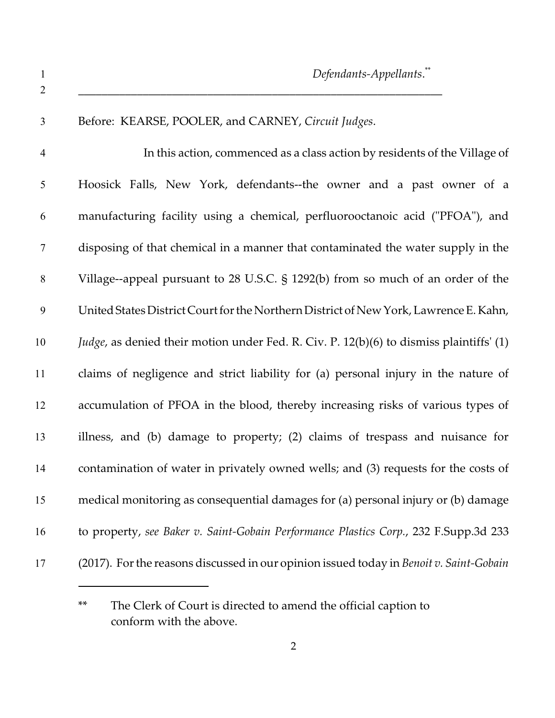| Before: KEARSE, POOLER, and CARNEY, Circuit Judges.                                               |
|---------------------------------------------------------------------------------------------------|
| In this action, commenced as a class action by residents of the Village of                        |
| Hoosick Falls, New York, defendants--the owner and a past owner of a                              |
| manufacturing facility using a chemical, perfluorooctanoic acid ("PFOA"), and                     |
| disposing of that chemical in a manner that contaminated the water supply in the                  |
| Village--appeal pursuant to 28 U.S.C. § 1292(b) from so much of an order of the                   |
| United States District Court for the Northern District of New York, Lawrence E. Kahn,             |
| <i>Judge</i> , as denied their motion under Fed. R. Civ. P. $12(b)(6)$ to dismiss plaintiffs' (1) |
| claims of negligence and strict liability for (a) personal injury in the nature of                |
| accumulation of PFOA in the blood, thereby increasing risks of various types of                   |
| illness, and (b) damage to property; (2) claims of trespass and nuisance for                      |
| contamination of water in privately owned wells; and (3) requests for the costs of                |
| medical monitoring as consequential damages for (a) personal injury or (b) damage                 |
| to property, see Baker v. Saint-Gobain Performance Plastics Corp., 232 F.Supp.3d 233              |
| (2017). For the reasons discussed in our opinion issued today in Benoit v. Saint-Gobain           |

<sup>\*\*</sup> The Clerk of Court is directed to amend the official caption to conform with the above.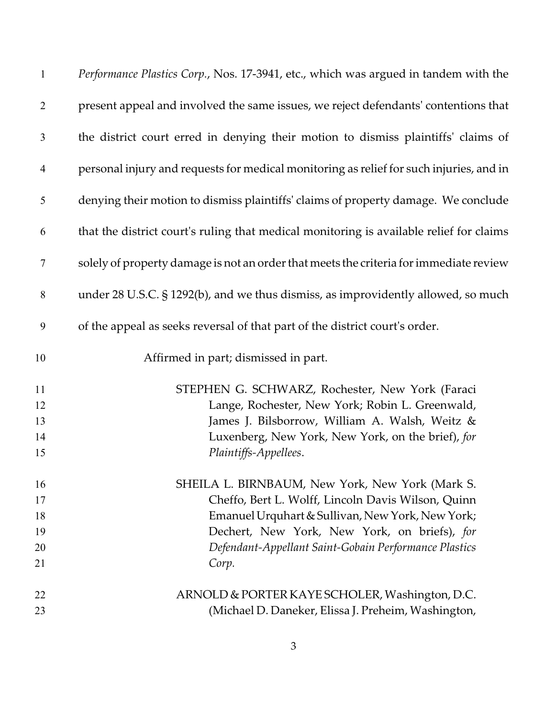| $\mathbf{1}$   | Performance Plastics Corp., Nos. 17-3941, etc., which was argued in tandem with the     |
|----------------|-----------------------------------------------------------------------------------------|
| $\overline{2}$ | present appeal and involved the same issues, we reject defendants' contentions that     |
| $\mathfrak{Z}$ | the district court erred in denying their motion to dismiss plaintiffs' claims of       |
| $\overline{4}$ | personal injury and requests for medical monitoring as relief for such injuries, and in |
| 5              | denying their motion to dismiss plaintiffs' claims of property damage. We conclude      |
| 6              | that the district court's ruling that medical monitoring is available relief for claims |
| 7              | solely of property damage is not an order that meets the criteria for immediate review  |
| 8              | under 28 U.S.C. § 1292(b), and we thus dismiss, as improvidently allowed, so much       |
| 9              | of the appeal as seeks reversal of that part of the district court's order.             |
| 10             | Affirmed in part; dismissed in part.                                                    |
| 11             | STEPHEN G. SCHWARZ, Rochester, New York (Faraci                                         |
| 12             | Lange, Rochester, New York; Robin L. Greenwald,                                         |
| 13             | James J. Bilsborrow, William A. Walsh, Weitz &                                          |
| 14             | Luxenberg, New York, New York, on the brief), for                                       |
| 15             | Plaintiffs-Appellees.                                                                   |
| 16             | SHEILA L. BIRNBAUM, New York, New York (Mark S.                                         |
| 17             | Cheffo, Bert L. Wolff, Lincoln Davis Wilson, Quinn                                      |
| 18             | Emanuel Urquhart & Sullivan, New York, New York;                                        |
| 19             | Dechert, New York, New York, on briefs), for                                            |
| 20             | Defendant-Appellant Saint-Gobain Performance Plastics                                   |
| 21             | Corp.                                                                                   |
| 22             | ARNOLD & PORTER KAYE SCHOLER, Washington, D.C.                                          |
| 23             | (Michael D. Daneker, Elissa J. Preheim, Washington,                                     |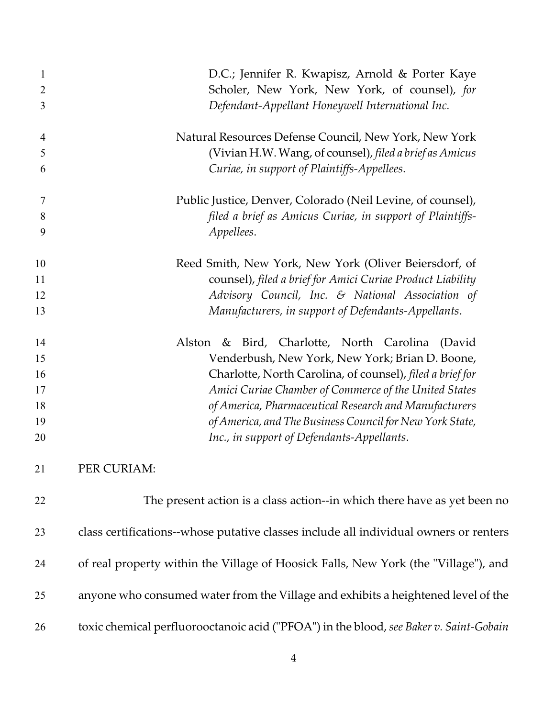| 1  | D.C.; Jennifer R. Kwapisz, Arnold & Porter Kaye                                        |
|----|----------------------------------------------------------------------------------------|
| 2  | Scholer, New York, New York, of counsel), for                                          |
| 3  | Defendant-Appellant Honeywell International Inc.                                       |
| 4  | Natural Resources Defense Council, New York, New York                                  |
| 5  | (Vivian H.W. Wang, of counsel), filed a brief as Amicus                                |
| 6  | Curiae, in support of Plaintiffs-Appellees.                                            |
| 7  | Public Justice, Denver, Colorado (Neil Levine, of counsel),                            |
| 8  | filed a brief as Amicus Curiae, in support of Plaintiffs-                              |
| 9  | Appellees.                                                                             |
| 10 | Reed Smith, New York, New York (Oliver Beiersdorf, of                                  |
| 11 | counsel), filed a brief for Amici Curiae Product Liability                             |
| 12 | Advisory Council, Inc. & National Association of                                       |
| 13 | Manufacturers, in support of Defendants-Appellants.                                    |
| 14 | Bird, Charlotte, North Carolina<br>Alston<br>$\&$<br>(David                            |
| 15 | Venderbush, New York, New York; Brian D. Boone,                                        |
| 16 | Charlotte, North Carolina, of counsel), filed a brief for                              |
| 17 | Amici Curiae Chamber of Commerce of the United States                                  |
| 18 | of America, Pharmaceutical Research and Manufacturers                                  |
| 19 | of America, and The Business Council for New York State,                               |
| 20 | Inc., in support of Defendants-Appellants.                                             |
| 21 | PER CURIAM:                                                                            |
| 22 | The present action is a class action--in which there have as yet been no               |
| 23 | class certifications--whose putative classes include all individual owners or renters  |
| 24 | of real property within the Village of Hoosick Falls, New York (the "Village"), and    |
| 25 | anyone who consumed water from the Village and exhibits a heightened level of the      |
| 26 | toxic chemical perfluorooctanoic acid ("PFOA") in the blood, see Baker v. Saint-Gobain |
|    |                                                                                        |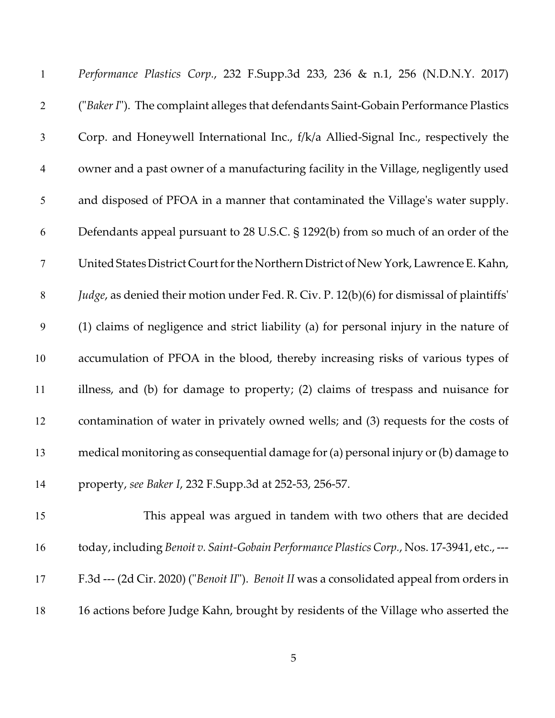| $\mathbf{1}$   | Performance Plastics Corp., 232 F.Supp.3d 233, 236 & n.1, 256 (N.D.N.Y. 2017)               |
|----------------|---------------------------------------------------------------------------------------------|
| $\overline{2}$ | ("Baker I"). The complaint alleges that defendants Saint-Gobain Performance Plastics        |
| 3              | Corp. and Honeywell International Inc., f/k/a Allied-Signal Inc., respectively the          |
| $\overline{4}$ | owner and a past owner of a manufacturing facility in the Village, negligently used         |
| 5              | and disposed of PFOA in a manner that contaminated the Village's water supply.              |
| 6              | Defendants appeal pursuant to 28 U.S.C. § 1292(b) from so much of an order of the           |
| $\tau$         | United States District Court for the Northern District of New York, Lawrence E. Kahn,       |
| 8              | Judge, as denied their motion under Fed. R. Civ. P. 12(b)(6) for dismissal of plaintiffs'   |
| 9              | (1) claims of negligence and strict liability (a) for personal injury in the nature of      |
| 10             | accumulation of PFOA in the blood, thereby increasing risks of various types of             |
| 11             | illness, and (b) for damage to property; (2) claims of trespass and nuisance for            |
| 12             | contamination of water in privately owned wells; and (3) requests for the costs of          |
| 13             | medical monitoring as consequential damage for (a) personal injury or (b) damage to         |
| 14             | property, see Baker I, 232 F.Supp.3d at 252-53, 256-57.                                     |
| 15             | This appeal was argued in tandem with two others that are decided                           |
| 16             | today, including Benoit v. Saint-Gobain Performance Plastics Corp., Nos. 17-3941, etc., --- |
| 17             | F.3d --- (2d Cir. 2020) ("Benoit II"). Benoit II was a consolidated appeal from orders in   |
|                |                                                                                             |

16 actions before Judge Kahn, brought by residents of the Village who asserted the